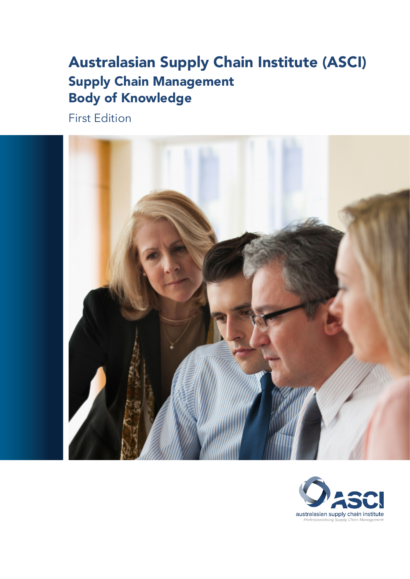# Australasian Supply Chain Institute (ASCI) Supply Chain Management Body of Knowledge

First Edition



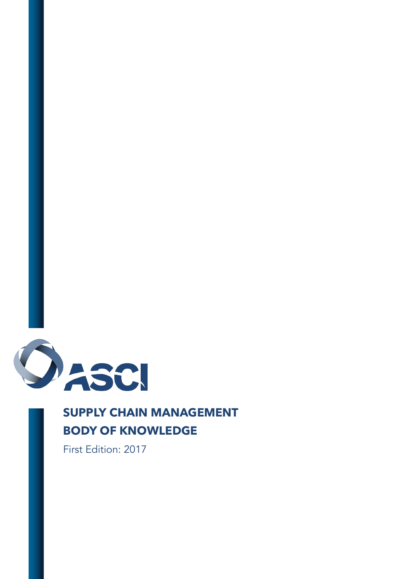

# **SUPPLY CHAIN MANAGEMENT BODY OF KNOWLEDGE**

First Edition: 2017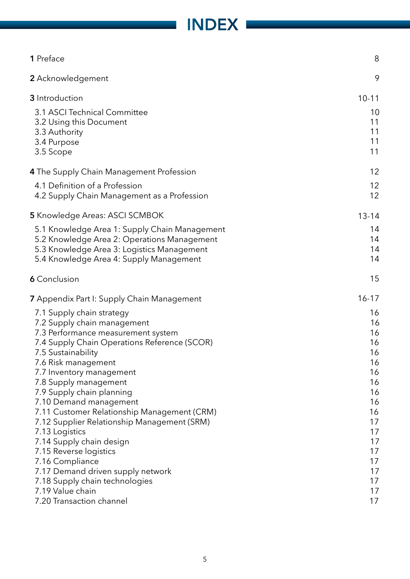# INDEX

 $\mathcal{L}_{\mathcal{A}}$ 

| 1 Preface                                                             | 8         |
|-----------------------------------------------------------------------|-----------|
| 2 Acknowledgement                                                     | 9         |
| 3 Introduction                                                        | $10 - 11$ |
| 3.1 ASCI Technical Committee                                          | 10        |
| 3.2 Using this Document                                               | 11        |
| 3.3 Authority                                                         | 11        |
| 3.4 Purpose                                                           | 11        |
| 3.5 Scope                                                             | 11        |
| 4 The Supply Chain Management Profession                              | 12        |
| 4.1 Definition of a Profession                                        | 12        |
| 4.2 Supply Chain Management as a Profession                           | 12        |
| 5 Knowledge Areas: ASCI SCMBOK                                        | $13 - 14$ |
| 5.1 Knowledge Area 1: Supply Chain Management                         | 14        |
| 5.2 Knowledge Area 2: Operations Management                           | 14        |
| 5.3 Knowledge Area 3: Logistics Management                            | 14        |
| 5.4 Knowledge Area 4: Supply Management                               | 14        |
| <b>6</b> Conclusion                                                   | 15        |
| <b>7</b> Appendix Part I: Supply Chain Management                     | $16 - 17$ |
| 7.1 Supply chain strategy                                             | 16        |
| 7.2 Supply chain management                                           | 16        |
| 7.3 Performance measurement system                                    | 16        |
| 7.4 Supply Chain Operations Reference (SCOR)                          | 16        |
| 7.5 Sustainability                                                    | 16        |
| 7.6 Risk management                                                   | 16        |
| 7.7 Inventory management                                              | 16        |
| 7.8 Supply management                                                 | 16        |
| 7.9 Supply chain planning                                             | 16<br>16  |
| 7.10 Demand management<br>7.11 Customer Relationship Management (CRM) | 16        |
| 7.12 Supplier Relationship Management (SRM)                           | 17        |
| 7.13 Logistics                                                        | 17        |
| 7.14 Supply chain design                                              | 17        |
| 7.15 Reverse logistics                                                | 17        |
| 7.16 Compliance                                                       | 17        |
| 7.17 Demand driven supply network                                     | 17        |
| 7.18 Supply chain technologies                                        | 17        |
| 7.19 Value chain                                                      | 17        |
| 7.20 Transaction channel                                              | 17        |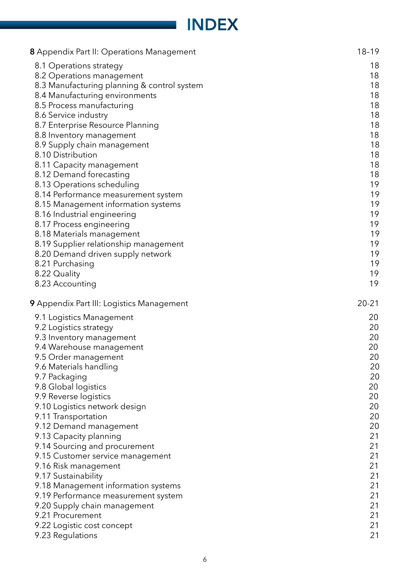# INDEX

| <b>8</b> Appendix Part II: Operations Management | $18 - 19$ |
|--------------------------------------------------|-----------|
| 8.1 Operations strategy                          | 18        |
| 8.2 Operations management                        | 18        |
| 8.3 Manufacturing planning & control system      | 18        |
| 8.4 Manufacturing environments                   | 18        |
| 8.5 Process manufacturing                        | 18        |
| 8.6 Service industry                             | 18        |
| 8.7 Enterprise Resource Planning                 | 18        |
| 8.8 Inventory management                         | 18        |
| 8.9 Supply chain management                      | 18        |
| 8.10 Distribution                                | 18        |
| 8.11 Capacity management                         | 18        |
| 8.12 Demand forecasting                          | 18        |
| 8.13 Operations scheduling                       | 19        |
| 8.14 Performance measurement system              | 19        |
| 8.15 Management information systems              | 19        |
| 8.16 Industrial engineering                      | 19        |
| 8.17 Process engineering                         | 19        |
| 8.18 Materials management                        | 19        |
| 8.19 Supplier relationship management            | 19        |
| 8.20 Demand driven supply network                | 19        |
| 8.21 Purchasing                                  | 19        |
| 8.22 Quality                                     | 19        |
| 8.23 Accounting                                  | 19        |
| 9 Appendix Part III: Logistics Management        | $20 - 21$ |
| 9.1 Logistics Management                         | 20        |
| 9.2 Logistics strategy                           | 20        |
| 9.3 Inventory management                         | 20        |
| 9.4 Warehouse management                         | 20        |
| 9.5 Order management                             | 20        |
| 9.6 Materials handling                           | 20        |
| 9.7 Packaging                                    | 20        |
| 9.8 Global logistics                             | 20        |
| 9.9 Reverse logistics                            | 20        |
| 9.10 Logistics network design                    | 20        |
| 9.11 Transportation                              | 20        |
| 9.12 Demand management                           | 20        |
| 9.13 Capacity planning                           | 21        |
| 9.14 Sourcing and procurement                    |           |
|                                                  |           |
|                                                  | 21        |
| 9.15 Customer service management                 | 21        |
| 9.16 Risk management                             | 21        |
| 9.17 Sustainability                              | 21        |
| 9.18 Management information systems              | 21        |
| 9.19 Performance measurement system              | 21        |
| 9.20 Supply chain management                     | 21        |
| 9.21 Procurement                                 | 21        |
| 9.22 Logistic cost concept<br>9.23 Regulations   | 21<br>21  |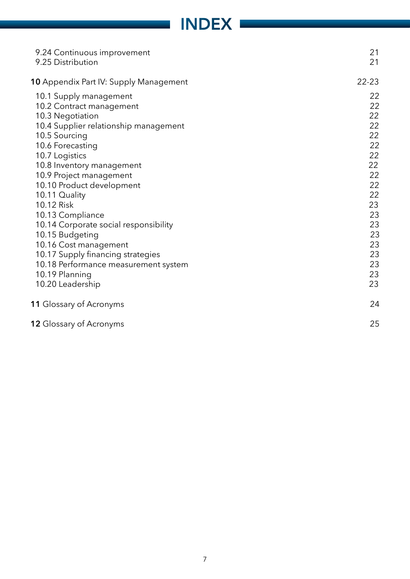# **INDEX**

| 9.24 Continuous improvement<br>9.25 Distribution | 21<br>21  |
|--------------------------------------------------|-----------|
| <b>10</b> Appendix Part IV: Supply Management    | $22 - 23$ |
| 10.1 Supply management                           | 22        |
| 10.2 Contract management                         | 22        |
| 10.3 Negotiation                                 | 22        |
| 10.4 Supplier relationship management            | 22        |
| 10.5 Sourcing                                    | 22        |
| 10.6 Forecasting                                 | 22        |
| 10.7 Logistics                                   | 22        |
| 10.8 Inventory management                        | 22        |
| 10.9 Project management                          | 22        |
| 10.10 Product development                        | 22        |
| 10.11 Quality                                    | 22        |
| 10.12 Risk                                       | 23        |
| 10.13 Compliance                                 | 23        |
| 10.14 Corporate social responsibility            | 23        |
| 10.15 Budgeting                                  | 23        |
| 10.16 Cost management                            | 23        |
| 10.17 Supply financing strategies                | 23        |
| 10.18 Performance measurement system             | 23        |
| 10.19 Planning                                   | 23        |
| 10.20 Leadership                                 | 23        |
| 11 Glossary of Acronyms                          | 24        |
| <b>12 Glossary of Acronyms</b>                   | 25        |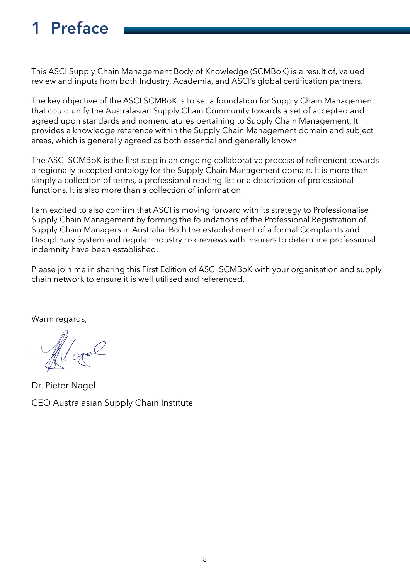# 1 Preface

This ASCI Supply Chain Management Body of Knowledge (SCMBoK) is a result of, valued review and inputs from both Industry, Academia, and ASCI's global certification partners.

The key objective of the ASCI SCMBoK is to set a foundation for Supply Chain Management that could unify the Australasian Supply Chain Community towards a set of accepted and agreed upon standards and nomenclatures pertaining to Supply Chain Management. It provides a knowledge reference within the Supply Chain Management domain and subject areas, which is generally agreed as both essential and generally known.

The ASCI SCMBoK is the frst step in an ongoing collaborative process of refnement towards a regionally accepted ontology for the Supply Chain Management domain. It is more than simply a collection of terms, a professional reading list or a description of professional functions. It is also more than a collection of information.

I am excited to also confrm that ASCI is moving forward with its strategy to Professionalise Supply Chain Management by forming the foundations of the Professional Registration of Supply Chain Managers in Australia. Both the establishment of a formal Complaints and Disciplinary System and regular industry risk reviews with insurers to determine professional indemnity have been established.

Please join me in sharing this First Edition of ASCI SCMBoK with your organisation and supply chain network to ensure it is well utilised and referenced.

Warm regards,

More

Dr. Pieter Nagel CEO Australasian Supply Chain Institute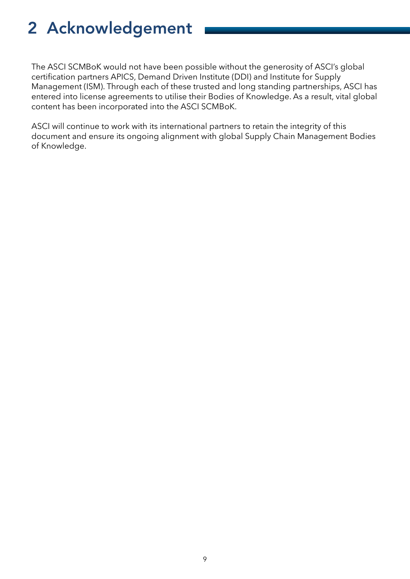# 2 Acknowledgement

The ASCI SCMBoK would not have been possible without the generosity of ASCI's global certifcation partners APICS, Demand Driven Institute (DDI) and Institute for Supply Management (ISM). Through each of these trusted and long standing partnerships, ASCI has entered into license agreements to utilise their Bodies of Knowledge. As a result, vital global content has been incorporated into the ASCI SCMBoK.

ASCI will continue to work with its international partners to retain the integrity of this document and ensure its ongoing alignment with global Supply Chain Management Bodies of Knowledge.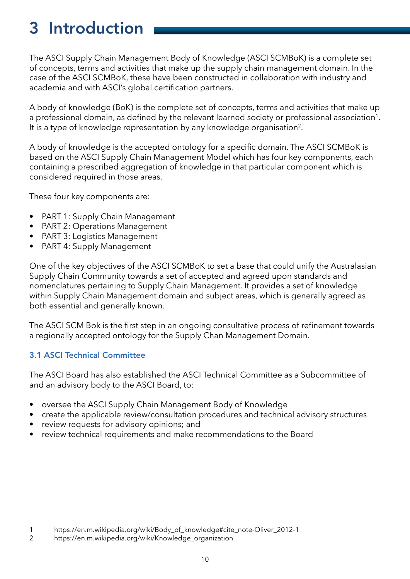# 3 Introduction

The ASCI Supply Chain Management Body of Knowledge (ASCI SCMBoK) is a complete set of concepts, terms and activities that make up the supply chain management domain. In the case of the ASCI SCMBoK, these have been constructed in collaboration with industry and academia and with ASCI's global certification partners.

A body of knowledge (BoK) is the complete set of concepts, terms and activities that make up a professional domain, as defined by the relevant learned society or professional association<sup>1</sup>. It is a type of knowledge representation by any knowledge organisation<sup>2</sup>.

A body of knowledge is the accepted ontology for a specific domain. The ASCI SCMBoK is based on the ASCI Supply Chain Management Model which has four key components, each containing a prescribed aggregation of knowledge in that particular component which is considered required in those areas.

These four key components are:

- PART 1: Supply Chain Management
- PART 2: Operations Management
- PART 3: Logistics Management
- PART 4: Supply Management

One of the key objectives of the ASCI SCMBoK to set a base that could unify the Australasian Supply Chain Community towards a set of accepted and agreed upon standards and nomenclatures pertaining to Supply Chain Management. It provides a set of knowledge within Supply Chain Management domain and subject areas, which is generally agreed as both essential and generally known.

The ASCI SCM Bok is the first step in an ongoing consultative process of refinement towards a regionally accepted ontology for the Supply Chan Management Domain.

# 3.1 ASCI Technical Committee

The ASCI Board has also established the ASCI Technical Committee as a Subcommittee of and an advisory body to the ASCI Board, to:

- oversee the ASCI Supply Chain Management Body of Knowledge
- create the applicable review/consultation procedures and technical advisory structures
- review requests for advisory opinions; and
- review technical requirements and make recommendations to the Board

<sup>1</sup> https://en.m.wikipedia.org/wiki/Body\_of\_knowledge#cite\_note-Oliver\_2012-1<br>2 https://en.m.wikipedia.org/wiki/Knowledge\_organization

https://en.m.wikipedia.org/wiki/Knowledge\_organization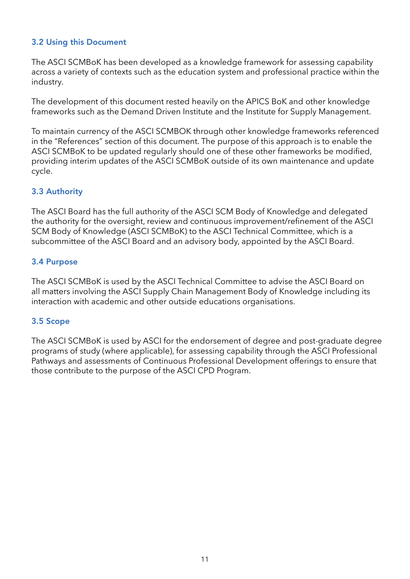# 3.2 Using this Document

The ASCI SCMBoK has been developed as a knowledge framework for assessing capability across a variety of contexts such as the education system and professional practice within the industry.

The development of this document rested heavily on the APICS BoK and other knowledge frameworks such as the Demand Driven Institute and the Institute for Supply Management.

To maintain currency of the ASCI SCMBOK through other knowledge frameworks referenced in the "References" section of this document. The purpose of this approach is to enable the ASCI SCMBoK to be updated regularly should one of these other frameworks be modifed, providing interim updates of the ASCI SCMBoK outside of its own maintenance and update cycle.

# 3.3 Authority

The ASCI Board has the full authority of the ASCI SCM Body of Knowledge and delegated the authority for the oversight, review and continuous improvement/refinement of the ASCI SCM Body of Knowledge (ASCI SCMBoK) to the ASCI Technical Committee, which is a subcommittee of the ASCI Board and an advisory body, appointed by the ASCI Board.

# 3.4 Purpose

The ASCI SCMBoK is used by the ASCI Technical Committee to advise the ASCI Board on all matters involving the ASCI Supply Chain Management Body of Knowledge including its interaction with academic and other outside educations organisations.

### 3.5 Scope

The ASCI SCMBoK is used by ASCI for the endorsement of degree and post-graduate degree programs of study (where applicable), for assessing capability through the ASCI Professional Pathways and assessments of Continuous Professional Development offerings to ensure that those contribute to the purpose of the ASCI CPD Program.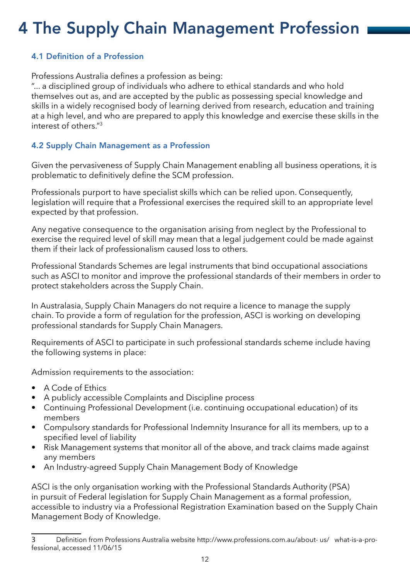# 4 The Supply Chain Management Profession

# 4.1 Defnition of a Profession

Professions Australia defines a profession as being:

"... a disciplined group of individuals who adhere to ethical standards and who hold themselves out as, and are accepted by the public as possessing special knowledge and skills in a widely recognised body of learning derived from research, education and training at a high level, and who are prepared to apply this knowledge and exercise these skills in the interest of others $^{\prime\prime}$ <sup>3</sup>

# 4.2 Supply Chain Management as a Profession

Given the pervasiveness of Supply Chain Management enabling all business operations, it is problematic to definitively define the SCM profession.

Professionals purport to have specialist skills which can be relied upon. Consequently, legislation will require that a Professional exercises the required skill to an appropriate level expected by that profession.

Any negative consequence to the organisation arising from neglect by the Professional to exercise the required level of skill may mean that a legal judgement could be made against them if their lack of professionalism caused loss to others.

Professional Standards Schemes are legal instruments that bind occupational associations such as ASCI to monitor and improve the professional standards of their members in order to protect stakeholders across the Supply Chain.

In Australasia, Supply Chain Managers do not require a licence to manage the supply chain. To provide a form of regulation for the profession, ASCI is working on developing professional standards for Supply Chain Managers.

Requirements of ASCI to participate in such professional standards scheme include having the following systems in place:

Admission requirements to the association:

- A Code of Ethics
- A publicly accessible Complaints and Discipline process
- Continuing Professional Development (i.e. continuing occupational education) of its members
- Compulsory standards for Professional Indemnity Insurance for all its members, up to a specifed level of liability
- Risk Management systems that monitor all of the above, and track claims made against any members
- An Industry-agreed Supply Chain Management Body of Knowledge

ASCI is the only organisation working with the Professional Standards Authority (PSA) in pursuit of Federal legislation for Supply Chain Management as a formal profession, accessible to industry via a Professional Registration Examination based on the Supply Chain Management Body of Knowledge.

<sup>3</sup> Defnition from Professions Australia website http://www.professions.com.au/about- us/ what-is-a-professional, accessed 11/06/15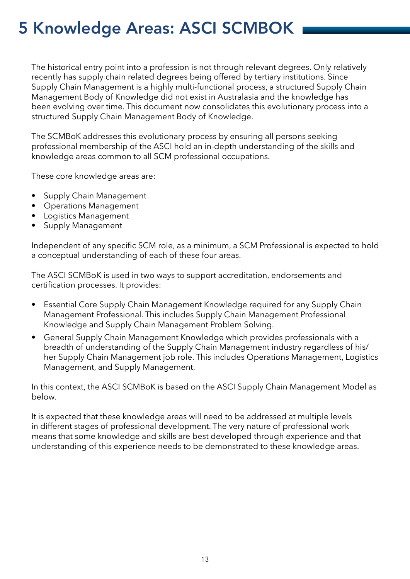# 5 Knowledge Areas: ASCI SCMBOK

The historical entry point into a profession is not through relevant degrees. Only relatively recently has supply chain related degrees being offered by tertiary institutions. Since Supply Chain Management is a highly multi-functional process, a structured Supply Chain Management Body of Knowledge did not exist in Australasia and the knowledge has been evolving over time. This document now consolidates this evolutionary process into a structured Supply Chain Management Body of Knowledge.

The SCMBoK addresses this evolutionary process by ensuring all persons seeking professional membership of the ASCI hold an in-depth understanding of the skills and knowledge areas common to all SCM professional occupations.

These core knowledge areas are:

- Supply Chain Management
- Operations Management
- Logistics Management
- Supply Management

Independent of any specific SCM role, as a minimum, a SCM Professional is expected to hold a conceptual understanding of each of these four areas.

The ASCI SCMBoK is used in two ways to support accreditation, endorsements and certification processes. It provides:

- Essential Core Supply Chain Management Knowledge required for any Supply Chain Management Professional. This includes Supply Chain Management Professional Knowledge and Supply Chain Management Problem Solving.
- General Supply Chain Management Knowledge which provides professionals with a breadth of understanding of the Supply Chain Management industry regardless of his/ her Supply Chain Management job role. This includes Operations Management, Logistics Management, and Supply Management.

In this context, the ASCI SCMBoK is based on the ASCI Supply Chain Management Model as below.

It is expected that these knowledge areas will need to be addressed at multiple levels in different stages of professional development. The very nature of professional work means that some knowledge and skills are best developed through experience and that understanding of this experience needs to be demonstrated to these knowledge areas.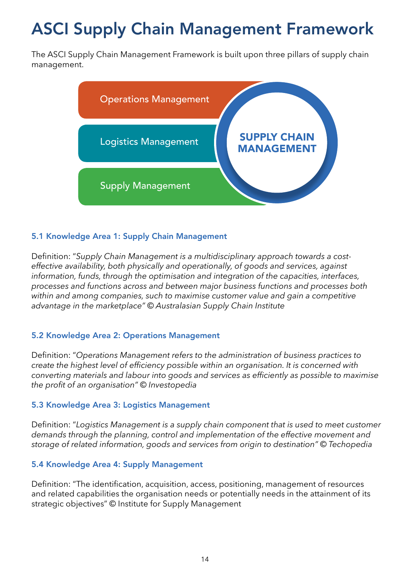# **ASCI Supply Chain Management Framework**

The ASCI Supply Chain Management Framework is built upon three pillars of supply chain management.



# 5.1 Knowledge Area 1: Supply Chain Management

Definition: "Supply Chain Management is a multidisciplinary approach towards a costeffective availability, both physically and operationally, of goods and services, against information, funds, through the optimisation and integration of the capacities, interfaces, processes and functions across and between major business functions and processes both within and among companies, such to maximise customer value and gain a competitive advantage in the marketplace" © Australasian Supply Chain Institute

### 5.2 Knowledge Area 2: Operations Management

Definition: "Operations Management refers to the administration of business practices to create the highest level of efficiency possible within an organisation. It is concerned with converting materials and labour into goods and services as efficiently as possible to maximise the profit of an organisation" © Investopedia

#### 5.3 Knowledge Area 3: Logistics Management

Definition: "Logistics Management is a supply chain component that is used to meet customer demands through the planning, control and implementation of the effective movement and storage of related information, goods and services from origin to destination" © Techopedia

#### 5.4 Knowledge Area 4: Supply Management

Definition: "The identification, acquisition, access, positioning, management of resources and related capabilities the organisation needs or potentially needs in the attainment of its strategic objectives" © Institute for Supply Management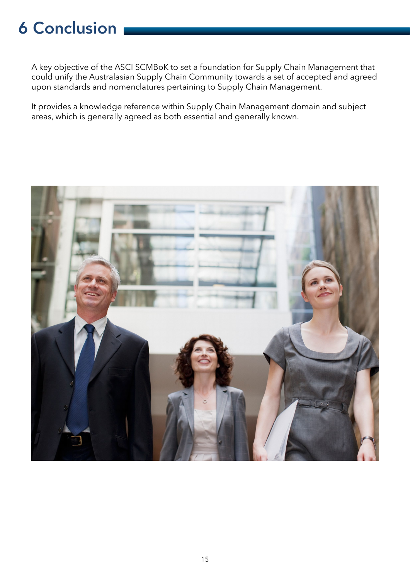# 6 Conclusion

A key objective of the ASCI SCMBoK to set a foundation for Supply Chain Management that could unify the Australasian Supply Chain Community towards a set of accepted and agreed upon standards and nomenclatures pertaining to Supply Chain Management.

It provides a knowledge reference within Supply Chain Management domain and subject areas, which is generally agreed as both essential and generally known.

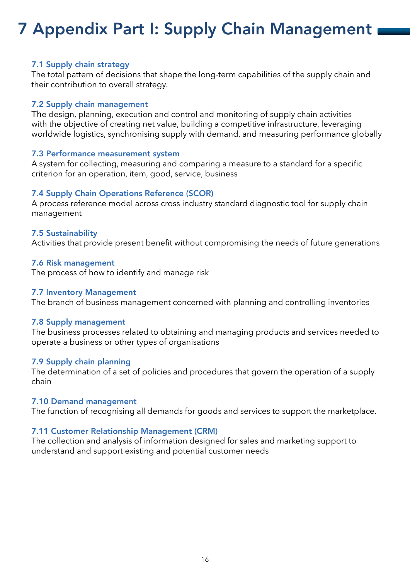# <span id="page-15-0"></span>7 Appendix Part I: Supply Chain Management

#### 7.1 Supply chain strategy

The total pattern of decisions that shape the long-term capabilities of the supply chain and their contribution to overall strategy.

#### 7.2 Supply chain management

The design, planning, execution and control and monitoring of supply chain activities with the objective of creating net value, building a competitive infrastructure, leveraging worldwide logistics, synchronising supply with demand, and measuring performance globally

### 7.3 Performance measurement system

A system for collecting, measuring and comparing a measure to a standard for a specifc criterion for an operation, item, good, service, business

### 7.4 Supply Chain Operations Reference (SCOR)

A process reference model across cross industry standard diagnostic tool for supply chain management

### 7.5 Sustainability

Activities that provide present benefit without compromising the needs of future generations

#### 7.6 Risk management

The process of how to identify and manage risk

#### 7.7 Inventory Management

The branch of business management concerned with planning and controlling inventories

#### 7.8 Supply management

The business processes related to obtaining and managing products and services needed to operate a business or other types of organisations

#### 7.9 Supply chain planning

The determination of a set of policies and procedures that govern the operation of a supply chain

#### 7.10 Demand management

The function of recognising all demands for goods and services to support the marketplace.

### 7.11 Customer Relationship Management (CRM)

The collection and analysis of information designed for sales and marketing support to understand and support existing and potential customer needs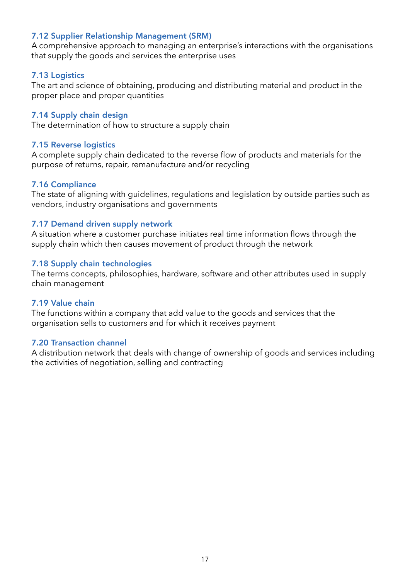# <span id="page-16-0"></span>7.12 Supplier Relationship Management (SRM)

A comprehensive approach to managing an enterprise's interactions with the organisations that supply the goods and services the enterprise uses

### 7.13 Logistics

The art and science of obtaining, producing and distributing material and product in the proper place and proper quantities

### 7.14 Supply chain design

The determination of how to structure a supply chain

### 7.15 Reverse logistics

A complete supply chain dedicated to the reverse flow of products and materials for the purpose of returns, repair, remanufacture and/or recycling

#### 7.16 Compliance

The state of aligning with guidelines, regulations and legislation by outside parties such as vendors, industry organisations and governments

### 7.17 Demand driven supply network

A situation where a customer purchase initiates real time information flows through the supply chain which then causes movement of product through the network

### 7.18 Supply chain technologies

The terms concepts, philosophies, hardware, software and other attributes used in supply chain management

#### 7.19 Value chain

The functions within a company that add value to the goods and services that the organisation sells to customers and for which it receives payment

#### 7.20 Transaction channel

A distribution network that deals with change of ownership of goods and services including the activities of negotiation, selling and contracting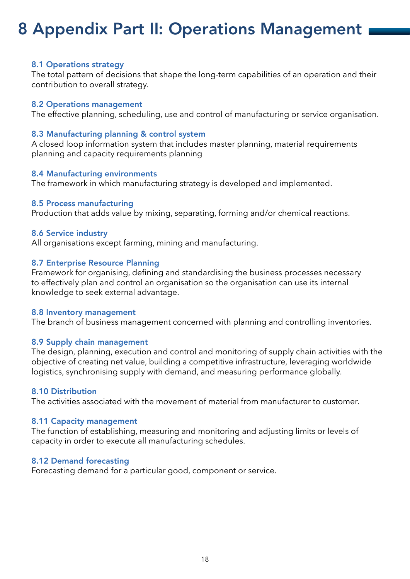# <span id="page-17-0"></span>8 Appendix Part II: Operations Management

#### 8.1 Operations strategy

The total pattern of decisions that shape the long-term capabilities of an operation and their contribution to overall strategy.

#### 8.2 Operations management

The effective planning, scheduling, use and control of manufacturing or service organisation.

#### 8.3 Manufacturing planning & control system

A closed loop information system that includes master planning, material requirements planning and capacity requirements planning

#### 8.4 Manufacturing environments

The framework in which manufacturing strategy is developed and implemented.

#### 8.5 Process manufacturing

Production that adds value by mixing, separating, forming and/or chemical reactions.

#### 8.6 Service industry

All organisations except farming, mining and manufacturing.

#### 8.7 Enterprise Resource Planning

Framework for organising, defining and standardising the business processes necessary to effectively plan and control an organisation so the organisation can use its internal knowledge to seek external advantage.

#### 8.8 Inventory management

The branch of business management concerned with planning and controlling inventories.

#### 8.9 Supply chain management

The design, planning, execution and control and monitoring of supply chain activities with the objective of creating net value, building a competitive infrastructure, leveraging worldwide logistics, synchronising supply with demand, and measuring performance globally.

#### 8.10 Distribution

The activities associated with the movement of material from manufacturer to customer.

#### 8.11 Capacity management

The function of establishing, measuring and monitoring and adjusting limits or levels of capacity in order to execute all manufacturing schedules.

#### 8.12 Demand forecasting

Forecasting demand for a particular good, component or service.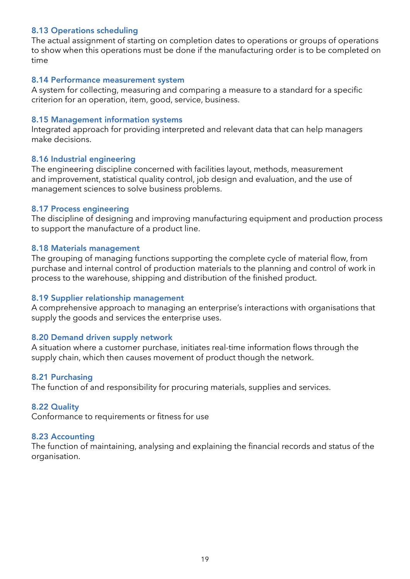### <span id="page-18-0"></span>8.13 Operations scheduling

The actual assignment of starting on completion dates to operations or groups of operations to show when this operations must be done if the manufacturing order is to be completed on time

#### 8.14 Performance measurement system

A system for collecting, measuring and comparing a measure to a standard for a specifc criterion for an operation, item, good, service, business.

#### 8.15 Management information systems

Integrated approach for providing interpreted and relevant data that can help managers make decisions.

#### 8.16 Industrial engineering

The engineering discipline concerned with facilities layout, methods, measurement and improvement, statistical quality control, job design and evaluation, and the use of management sciences to solve business problems.

#### 8.17 Process engineering

The discipline of designing and improving manufacturing equipment and production process to support the manufacture of a product line.

#### 8.18 Materials management

The grouping of managing functions supporting the complete cycle of material flow, from purchase and internal control of production materials to the planning and control of work in process to the warehouse, shipping and distribution of the finished product.

#### 8.19 Supplier relationship management

A comprehensive approach to managing an enterprise's interactions with organisations that supply the goods and services the enterprise uses.

#### 8.20 Demand driven supply network

A situation where a customer purchase, initiates real-time information flows through the supply chain, which then causes movement of product though the network.

#### 8.21 Purchasing

The function of and responsibility for procuring materials, supplies and services.

#### 8.22 Quality

Conformance to requirements or fitness for use

#### 8.23 Accounting

The function of maintaining, analysing and explaining the fnancial records and status of the organisation.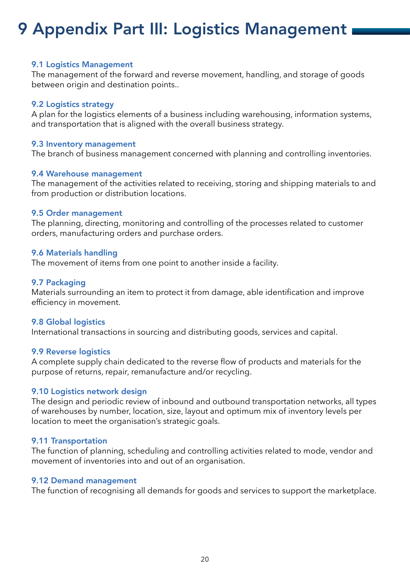# 9 Appendix Part III: Logistics Management

#### 9.1 Logistics Management

The management of the forward and reverse movement, handling, and storage of goods between origin and destination points..

#### 9.2 Logistics strategy

A plan for the logistics elements of a business including warehousing, information systems, and transportation that is aligned with the overall business strategy.

#### 9.3 Inventory management

The branch of business management concerned with planning and controlling inventories.

#### 9.4 Warehouse management

The management of the activities related to receiving, storing and shipping materials to and from production or distribution locations.

#### 9.5 Order management

The planning, directing, monitoring and controlling of the processes related to customer orders, manufacturing orders and purchase orders.

#### 9.6 Materials handling

The movement of items from one point to another inside a facility.

#### 9.7 Packaging

Materials surrounding an item to protect it from damage, able identification and improve efficiency in movement.

#### 9.8 Global logistics

International transactions in sourcing and distributing goods, services and capital.

#### 9.9 Reverse logistics

A complete supply chain dedicated to the reverse flow of products and materials for the purpose of returns, repair, remanufacture and/or recycling.

#### 9.10 Logistics network design

The design and periodic review of inbound and outbound transportation networks, all types of warehouses by number, location, size, layout and optimum mix of inventory levels per location to meet the organisation's strategic goals.

#### 9.11 Transportation

The function of planning, scheduling and controlling activities related to mode, vendor and movement of inventories into and out of an organisation.

#### 9.12 Demand management

The function of recognising all demands for goods and services to support the marketplace.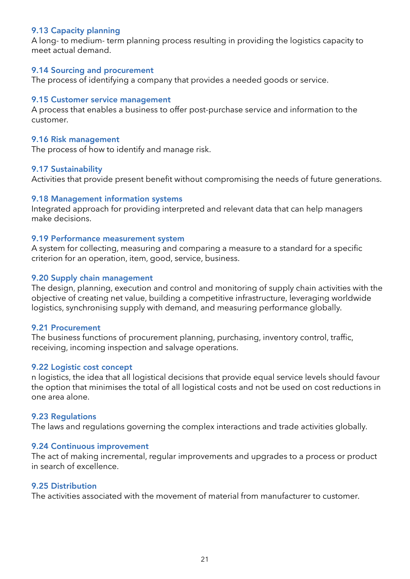### <span id="page-20-0"></span>9.13 Capacity planning

A long- to medium- term planning process resulting in providing the logistics capacity to meet actual demand.

#### 9.14 Sourcing and procurement

The process of identifying a company that provides a needed goods or service.

#### 9.15 Customer service management

A process that enables a business to offer post-purchase service and information to the customer.

#### 9.16 Risk management

The process of how to identify and manage risk.

#### 9.17 Sustainability

Activities that provide present benefit without compromising the needs of future generations.

#### 9.18 Management information systems

Integrated approach for providing interpreted and relevant data that can help managers make decisions.

#### 9.19 Performance measurement system

A system for collecting, measuring and comparing a measure to a standard for a specifc criterion for an operation, item, good, service, business.

#### 9.20 Supply chain management

The design, planning, execution and control and monitoring of supply chain activities with the objective of creating net value, building a competitive infrastructure, leveraging worldwide logistics, synchronising supply with demand, and measuring performance globally.

### 9.21 Procurement

The business functions of procurement planning, purchasing, inventory control, traffic, receiving, incoming inspection and salvage operations.

#### 9.22 Logistic cost concept

n logistics, the idea that all logistical decisions that provide equal service levels should favour the option that minimises the total of all logistical costs and not be used on cost reductions in one area alone.

#### 9.23 Regulations

The laws and regulations governing the complex interactions and trade activities globally.

#### 9.24 Continuous improvement

The act of making incremental, regular improvements and upgrades to a process or product in search of excellence.

#### 9.25 Distribution

The activities associated with the movement of material from manufacturer to customer.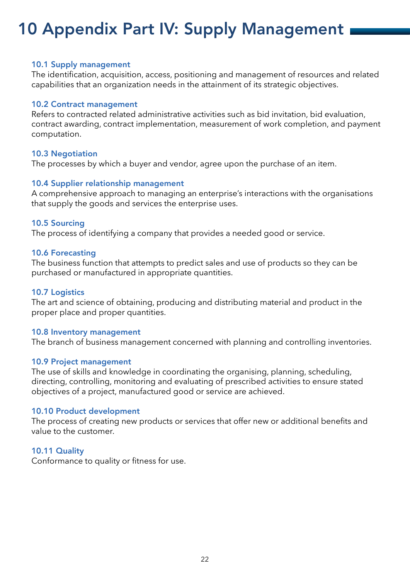# 10 Appendix Part IV: Supply Management

#### 10.1 Supply management

The identifcation, acquisition, access, positioning and management of resources and related capabilities that an organization needs in the attainment of its strategic objectives.

#### 10.2 Contract management

Refers to contracted related administrative activities such as bid invitation, bid evaluation, contract awarding, contract implementation, measurement of work completion, and payment computation.

### 10.3 Negotiation

The processes by which a buyer and vendor, agree upon the purchase of an item.

### 10.4 Supplier relationship management

A comprehensive approach to managing an enterprise's interactions with the organisations that supply the goods and services the enterprise uses.

### 10.5 Sourcing

The process of identifying a company that provides a needed good or service.

### 10.6 Forecasting

The business function that attempts to predict sales and use of products so they can be purchased or manufactured in appropriate quantities.

#### 10.7 Logistics

The art and science of obtaining, producing and distributing material and product in the proper place and proper quantities.

#### 10.8 Inventory management

The branch of business management concerned with planning and controlling inventories.

#### 10.9 Project management

The use of skills and knowledge in coordinating the organising, planning, scheduling, directing, controlling, monitoring and evaluating of prescribed activities to ensure stated objectives of a project, manufactured good or service are achieved.

#### 10.10 Product development

The process of creating new products or services that offer new or additional benefits and value to the customer.

### 10.11 Quality

Conformance to quality or fitness for use.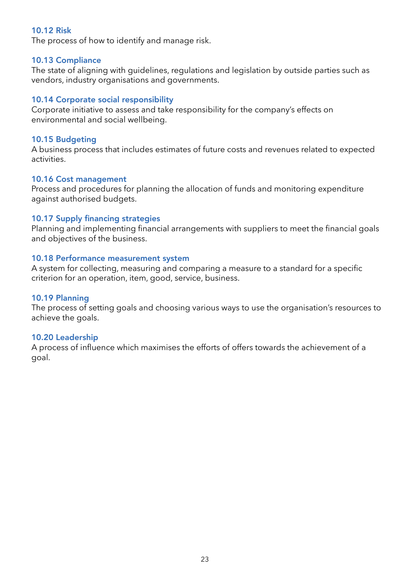### 10.12 Risk

The process of how to identify and manage risk.

#### 10.13 Compliance

The state of aligning with guidelines, regulations and legislation by outside parties such as vendors, industry organisations and governments.

### 10.14 Corporate social responsibility

Corporate initiative to assess and take responsibility for the company's effects on environmental and social wellbeing.

### 10.15 Budgeting

A business process that includes estimates of future costs and revenues related to expected activities.

#### 10.16 Cost management

Process and procedures for planning the allocation of funds and monitoring expenditure against authorised budgets.

### 10.17 Supply financing strategies

Planning and implementing financial arrangements with suppliers to meet the financial goals and objectives of the business.

### 10.18 Performance measurement system

A system for collecting, measuring and comparing a measure to a standard for a specifc criterion for an operation, item, good, service, business.

### 10.19 Planning

The process of setting goals and choosing various ways to use the organisation's resources to achieve the goals.

### 10.20 Leadership

A process of infuence which maximises the efforts of offers towards the achievement of a goal.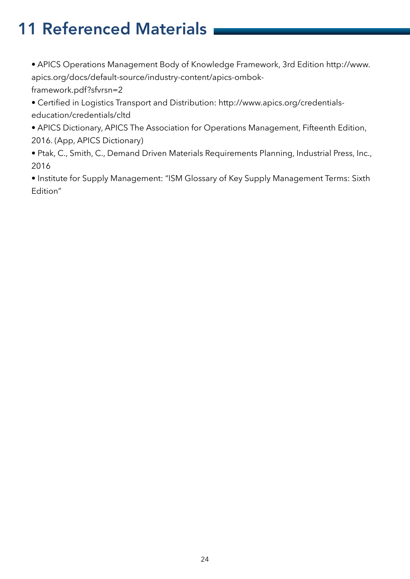# 11 Referenced Materials

• APICS Operations Management Body of Knowledge Framework, 3rd Edition http://www. apics.org/docs/default-source/industry-content/apics-ombok-

framework.pdf?sfvrsn=2

• Certifed in Logistics Transport and Distribution: http://www.apics.org/credentialseducation/credentials/cltd

• APICS Dictionary, APICS The Association for Operations Management, Fifteenth Edition, 2016. (App, APICS Dictionary)

• Ptak, C., Smith, C., Demand Driven Materials Requirements Planning, Industrial Press, Inc., 2016

• Institute for Supply Management: "ISM Glossary of Key Supply Management Terms: Sixth Edition"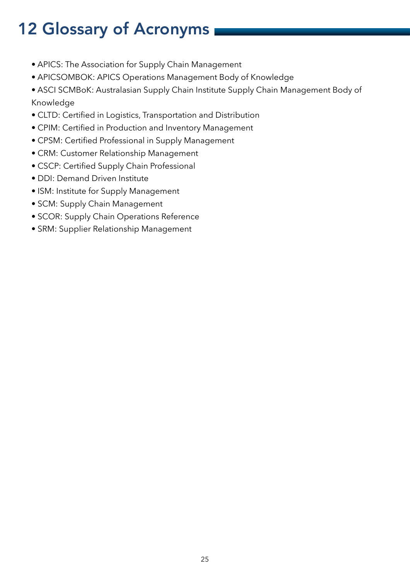# <span id="page-24-0"></span>12 Glossary of Acronyms

- APICS: The Association for Supply Chain Management
- APICSOMBOK: APICS Operations Management Body of Knowledge
- ASCI SCMBoK: Australasian Supply Chain Institute Supply Chain Management Body of Knowledge
- CLTD: Certifed in Logistics, Transportation and Distribution
- CPIM: Certifed in Production and Inventory Management
- CPSM: Certifed Professional in Supply Management
- CRM: Customer Relationship Management
- CSCP: Certifed Supply Chain Professional
- DDI: Demand Driven Institute
- ISM: Institute for Supply Management
- SCM: Supply Chain Management
- SCOR: Supply Chain Operations Reference
- SRM: Supplier Relationship Management